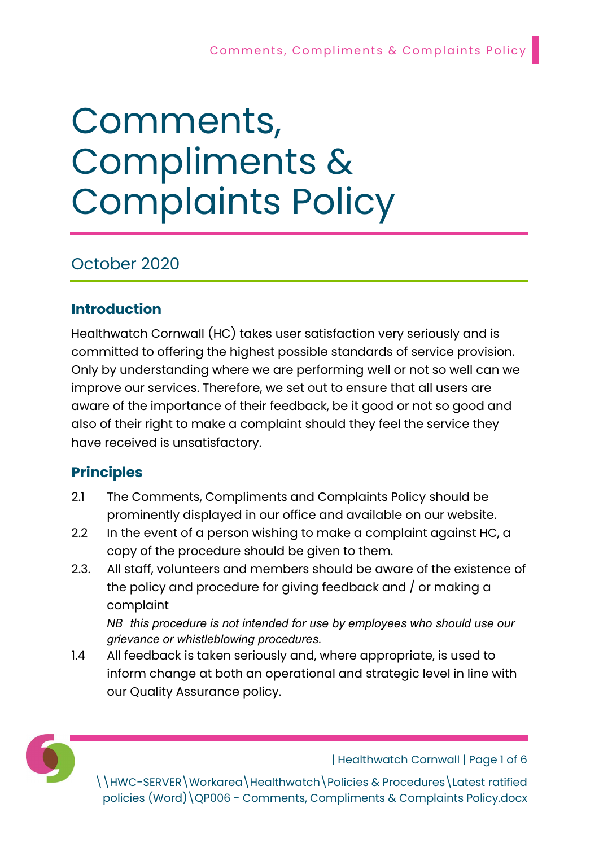# Comments, Compliments & Complaints Policy

# October 2020

# Introduction

Healthwatch Cornwall (HC) takes user satisfaction very seriously and is committed to offering the highest possible standards of service provision. Only by understanding where we are performing well or not so well can we improve our services. Therefore, we set out to ensure that all users are aware of the importance of their feedback, be it good or not so good and also of their right to make a complaint should they feel the service they have received is unsatisfactory.

# Principles

- 2.1 The Comments, Compliments and Complaints Policy should be prominently displayed in our office and available on our website.
- 2.2 In the event of a person wishing to make a complaint against HC, a copy of the procedure should be given to them.
- 2.3. All staff, volunteers and members should be aware of the existence of the policy and procedure for giving feedback and / or making a complaint

NB this procedure is not intended for use by employees who should use our grievance or whistleblowing procedures.

1.4 All feedback is taken seriously and, where appropriate, is used to inform change at both an operational and strategic level in line with our Quality Assurance policy.



| Healthwatch Cornwall | Page 1 of 6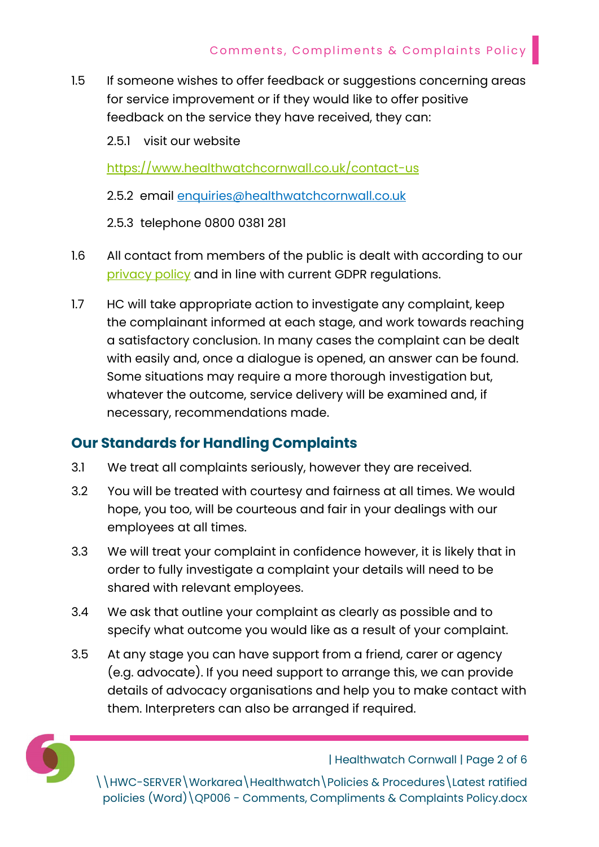- 1.5 If someone wishes to offer feedback or suggestions concerning areas for service improvement or if they would like to offer positive feedback on the service they have received, they can:
	- 2.5.1 visit our website

https://www.healthwatchcornwall.co.uk/contact-us

- 2.5.2 email enquiries@healthwatchcornwall.co.uk
- 2.5.3 telephone 0800 0381 281
- 1.6 All contact from members of the public is dealt with according to our privacy policy and in line with current GDPR regulations.
- 1.7 HC will take appropriate action to investigate any complaint, keep the complainant informed at each stage, and work towards reaching a satisfactory conclusion. In many cases the complaint can be dealt with easily and, once a dialogue is opened, an answer can be found. Some situations may require a more thorough investigation but, whatever the outcome, service delivery will be examined and, if necessary, recommendations made.

## Our Standards for Handling Complaints

- 3.1 We treat all complaints seriously, however they are received.
- 3.2 You will be treated with courtesy and fairness at all times. We would hope, you too, will be courteous and fair in your dealings with our employees at all times.
- 3.3 We will treat your complaint in confidence however, it is likely that in order to fully investigate a complaint your details will need to be shared with relevant employees.
- 3.4 We ask that outline your complaint as clearly as possible and to specify what outcome you would like as a result of your complaint.
- 3.5 At any stage you can have support from a friend, carer or agency (e.g. advocate). If you need support to arrange this, we can provide details of advocacy organisations and help you to make contact with them. Interpreters can also be arranged if required.



| Healthwatch Cornwall | Page 2 of 6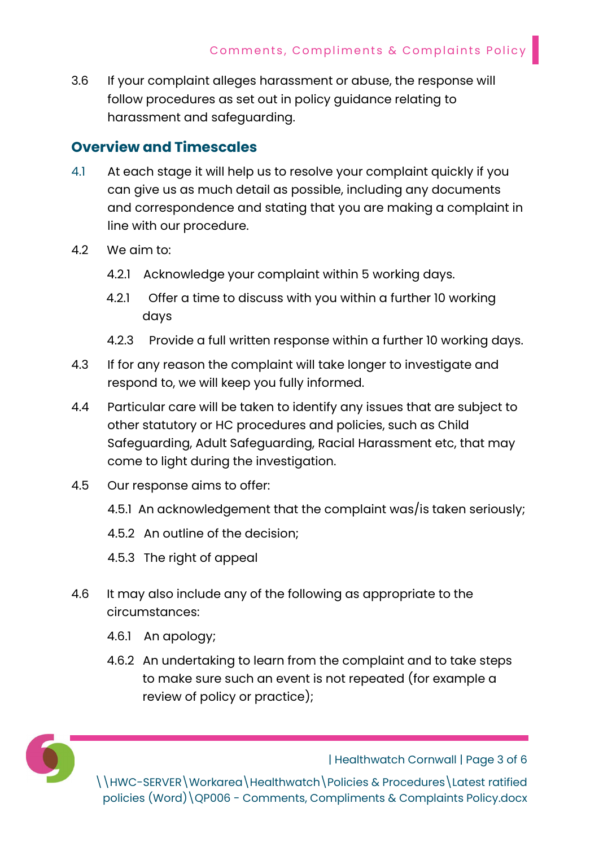3.6 If your complaint alleges harassment or abuse, the response will follow procedures as set out in policy guidance relating to harassment and safeguarding.

## Overview and Timescales

- 4.1 At each stage it will help us to resolve your complaint quickly if you can give us as much detail as possible, including any documents and correspondence and stating that you are making a complaint in line with our procedure.
- 4.2 We aim to:
	- 4.2.1 Acknowledge your complaint within 5 working days.
	- 4.2.1 Offer a time to discuss with you within a further 10 working days
	- 4.2.3 Provide a full written response within a further 10 working days.
- 4.3 If for any reason the complaint will take longer to investigate and respond to, we will keep you fully informed.
- 4.4 Particular care will be taken to identify any issues that are subject to other statutory or HC procedures and policies, such as Child Safeguarding, Adult Safeguarding, Racial Harassment etc, that may come to light during the investigation.
- 4.5 Our response aims to offer:
	- 4.5.1 An acknowledgement that the complaint was/is taken seriously;
	- 4.5.2 An outline of the decision;
	- 4.5.3 The right of appeal
- 4.6 It may also include any of the following as appropriate to the circumstances:
	- 4.6.1 An apology;
	- 4.6.2 An undertaking to learn from the complaint and to take steps to make sure such an event is not repeated (for example a review of policy or practice);



| Healthwatch Cornwall | Page 3 of 6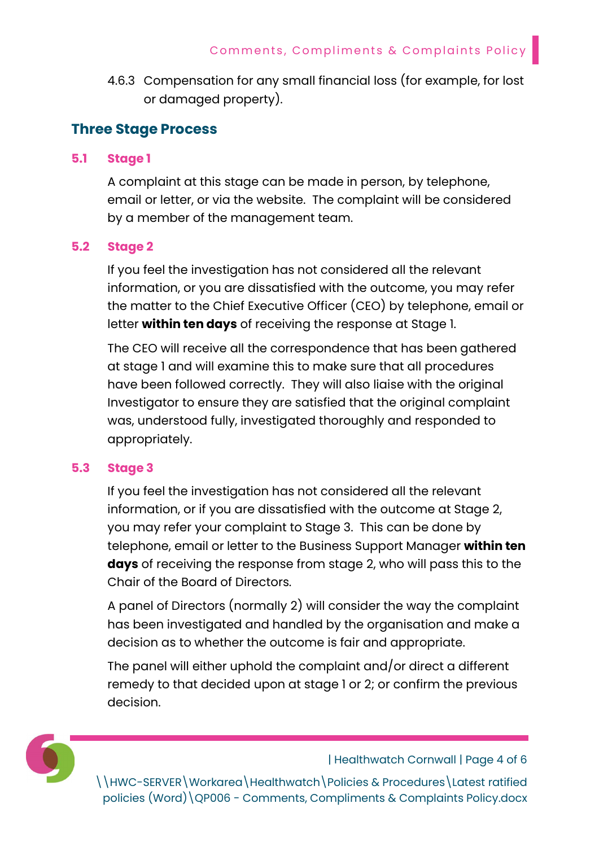4.6.3 Compensation for any small financial loss (for example, for lost or damaged property).

### Three Stage Process

#### 5.1 Stage 1

A complaint at this stage can be made in person, by telephone, email or letter, or via the website. The complaint will be considered by a member of the management team.

#### 5.2 Stage 2

If you feel the investigation has not considered all the relevant information, or you are dissatisfied with the outcome, you may refer the matter to the Chief Executive Officer (CEO) by telephone, email or letter within ten days of receiving the response at Stage 1.

 The CEO will receive all the correspondence that has been gathered at stage 1 and will examine this to make sure that all procedures have been followed correctly. They will also liaise with the original Investigator to ensure they are satisfied that the original complaint was, understood fully, investigated thoroughly and responded to appropriately.

#### 5.3 Stage 3

If you feel the investigation has not considered all the relevant information, or if you are dissatisfied with the outcome at Stage 2, you may refer your complaint to Stage 3. This can be done by telephone, email or letter to the Business Support Manager within ten days of receiving the response from stage 2, who will pass this to the Chair of the Board of Directors.

A panel of Directors (normally 2) will consider the way the complaint has been investigated and handled by the organisation and make a decision as to whether the outcome is fair and appropriate.

The panel will either uphold the complaint and/or direct a different remedy to that decided upon at stage 1 or 2; or confirm the previous decision.



| Healthwatch Cornwall | Page 4 of 6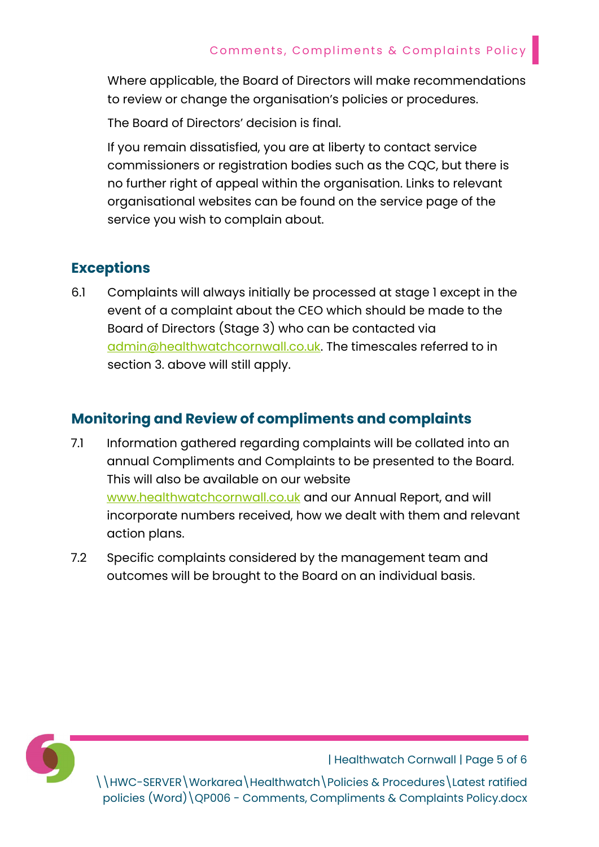Where applicable, the Board of Directors will make recommendations to review or change the organisation's policies or procedures.

The Board of Directors' decision is final.

If you remain dissatisfied, you are at liberty to contact service commissioners or registration bodies such as the CQC, but there is no further right of appeal within the organisation. Links to relevant organisational websites can be found on the service page of the service you wish to complain about.

# Exceptions

6.1 Complaints will always initially be processed at stage 1 except in the event of a complaint about the CEO which should be made to the Board of Directors (Stage 3) who can be contacted via admin@healthwatchcornwall.co.uk. The timescales referred to in section 3. above will still apply.

## Monitoring and Review of compliments and complaints

- 7.1 Information gathered regarding complaints will be collated into an annual Compliments and Complaints to be presented to the Board. This will also be available on our website www.healthwatchcornwall.co.uk and our Annual Report, and will incorporate numbers received, how we dealt with them and relevant action plans.
- 7.2 Specific complaints considered by the management team and outcomes will be brought to the Board on an individual basis.



| Healthwatch Cornwall | Page 5 of 6